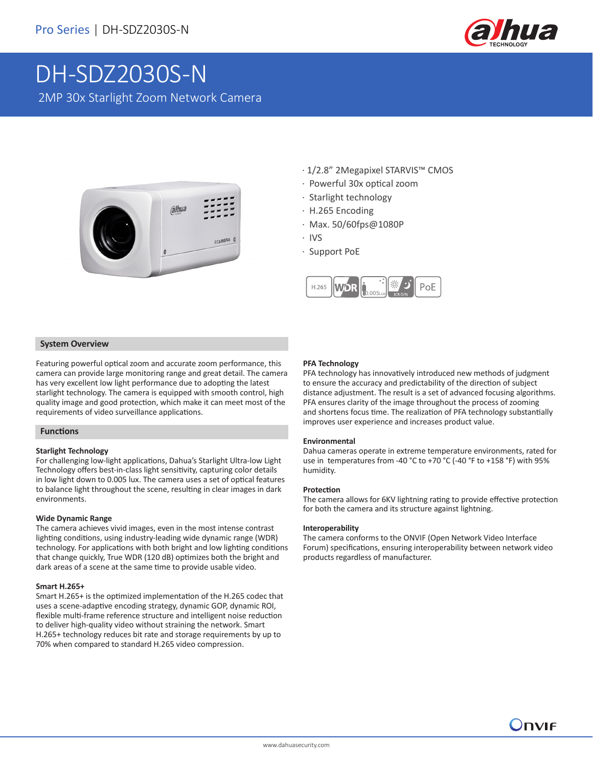

# DH-SDZ2030S-N 2MP 30x Starlight Zoom Network Camera



- · 1/2.8" 2Megapixel STARVIS™ CMOS
- · Powerful 30x optical zoom
- · Starlight technology
- · H.265 Encoding
- · Max. 50/60fps@1080P
- · IVS
- · Support PoE



### **System Overview**

Featuring powerful optical zoom and accurate zoom performance, this camera can provide large monitoring range and great detail. The camera has very excellent low light performance due to adopting the latest starlight technology. The camera is equipped with smooth control, high quality image and good protection, which make it can meet most of the requirements of video surveillance applications.

### **Functions**

### **Starlight Technology**

For challenging low-light applications, Dahua's Starlight Ultra-low Light Technology offers best-in-class light sensitivity, capturing color details in low light down to 0.005 lux. The camera uses a set of optical features to balance light throughout the scene, resulting in clear images in dark environments.

### **Wide Dynamic Range**

The camera achieves vivid images, even in the most intense contrast lighting conditions, using industry-leading wide dynamic range (WDR) technology. For applications with both bright and low lighting conditions that change quickly, True WDR (120 dB) optimizes both the bright and dark areas of a scene at the same time to provide usable video.

### **Smart H.265+**

Smart H.265+ is the optimized implementation of the H.265 codec that uses a scene-adaptive encoding strategy, dynamic GOP, dynamic ROI, flexible multi-frame reference structure and intelligent noise reduction to deliver high-quality video without straining the network. Smart H.265+ technology reduces bit rate and storage requirements by up to 70% when compared to standard H.265 video compression.

### **PFA Technology**

PFA technology has innovatively introduced new methods of judgment to ensure the accuracy and predictability of the direction of subject distance adjustment. The result is a set of advanced focusing algorithms. PFA ensures clarity of the image throughout the process of zooming and shortens focus time. The realization of PFA technology substantially improves user experience and increases product value.

### **Environmental**

Dahua cameras operate in extreme temperature environments, rated for use in temperatures from -40 °C to +70 °C (-40 °F to +158 °F) with 95% humidity.

### **Protection**

The camera allows for 6KV lightning rating to provide effective protection for both the camera and its structure against lightning.

### **Interoperability**

The camera conforms to the ONVIF (Open Network Video Interface Forum) specifications, ensuring interoperability between network video products regardless of manufacturer.

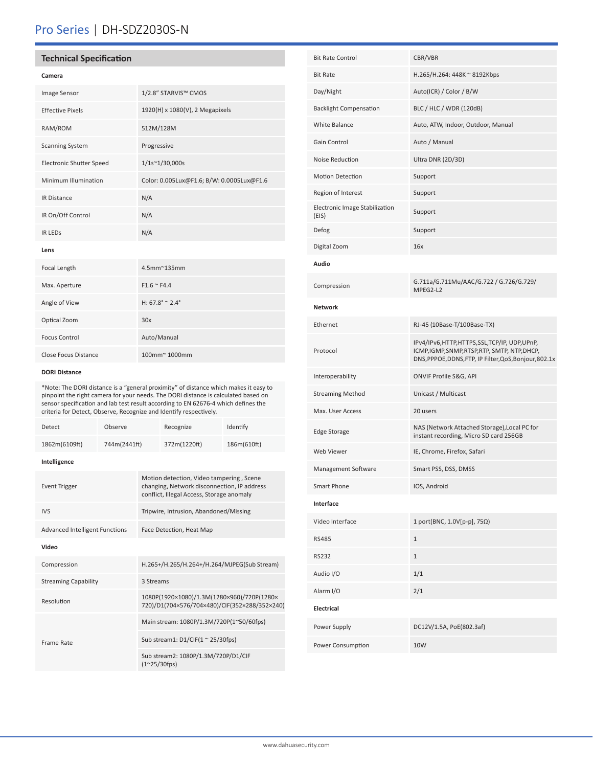### Pro Series | DH-SDZ2030S-N

### **Technical Specification**

| Camera                          |                                           |
|---------------------------------|-------------------------------------------|
| Image Sensor                    | 1/2.8" STARVIS™ CMOS                      |
| <b>Effective Pixels</b>         | 1920(H) x 1080(V), 2 Megapixels           |
| RAM/ROM                         | 512M/128M                                 |
| <b>Scanning System</b>          | Progressive                               |
| <b>Electronic Shutter Speed</b> | $1/1s^{\sim}1/30,000s$                    |
| Minimum Illumination            | Color: 0.005Lux@F1.6; B/W: 0.0005Lux@F1.6 |
| <b>IR Distance</b>              | N/A                                       |
| IR On/Off Control               | N/A                                       |
| <b>IR LEDS</b>                  | N/A                                       |
| Lens                            |                                           |

# Focal Length 4.5mm~135mm Max. Aperture F1.6 ~ F4.4 Angle of View  $H: 67.8^\circ \approx 2.4^\circ$ Optical Zoom 30x Focus Control **Auto/Manual** Close Focus Distance 100mm~ 1000mm

### **DORI Distance**

\*Note: The DORI distance is a "general proximity" of distance which makes it easy to pinpoint the right camera for your needs. The DORI distance is calculated based on sensor specification and lab test result according to EN 62676-4 which defines the criteria for Detect, Observe, Recognize and Identify respectively.

| Detect                                | Observe      |                                                                                                                                      | Recognize    | Identify    |  |
|---------------------------------------|--------------|--------------------------------------------------------------------------------------------------------------------------------------|--------------|-------------|--|
| 1862m(6109ft)                         | 744m(2441ft) |                                                                                                                                      | 372m(1220ft) | 186m(610ft) |  |
| Intelligence                          |              |                                                                                                                                      |              |             |  |
| <b>Event Trigger</b>                  |              | Motion detection, Video tampering, Scene<br>changing, Network disconnection, IP address<br>conflict, Illegal Access, Storage anomaly |              |             |  |
| <b>IVS</b>                            |              | Tripwire, Intrusion, Abandoned/Missing                                                                                               |              |             |  |
| <b>Advanced Intelligent Functions</b> |              | Face Detection, Heat Map                                                                                                             |              |             |  |
| Video                                 |              |                                                                                                                                      |              |             |  |
| Compression                           |              | H.265+/H.265/H.264+/H.264/MJPEG(Sub Stream)                                                                                          |              |             |  |
| <b>Streaming Capability</b>           |              | 3 Streams                                                                                                                            |              |             |  |
| Resolution                            |              | 1080P(1920×1080)/1.3M(1280×960)/720P(1280×<br>720)/D1(704×576/704×480)/CIF(352×288/352×240)                                          |              |             |  |
| Frame Rate                            |              | Main stream: 1080P/1.3M/720P(1~50/60fps)                                                                                             |              |             |  |
|                                       |              | Sub stream1: $D1/CIF(1 \approx 25/30fps)$                                                                                            |              |             |  |
|                                       |              | Sub stream2: 1080P/1.3M/720P/D1/CIF<br>$(1^{\sim}25/30$ fps)                                                                         |              |             |  |

| <b>Bit Rate Control</b>                 | CBR/VBR                                                                                                                                               |
|-----------------------------------------|-------------------------------------------------------------------------------------------------------------------------------------------------------|
| <b>Bit Rate</b>                         | H.265/H.264: 448K ~ 8192Kbps                                                                                                                          |
| Day/Night                               | Auto(ICR) / Color / B/W                                                                                                                               |
| <b>Backlight Compensation</b>           | BLC / HLC / WDR (120dB)                                                                                                                               |
| White Balance                           | Auto, ATW, Indoor, Outdoor, Manual                                                                                                                    |
| Gain Control                            | Auto / Manual                                                                                                                                         |
| Noise Reduction                         | Ultra DNR (2D/3D)                                                                                                                                     |
| Motion Detection                        | Support                                                                                                                                               |
| Region of Interest                      | Support                                                                                                                                               |
| Electronic Image Stabilization<br>(EIS) | Support                                                                                                                                               |
| Defog                                   | Support                                                                                                                                               |
| Digital Zoom                            | 16x                                                                                                                                                   |
| Audio                                   |                                                                                                                                                       |
| Compression                             | G.711a/G.711Mu/AAC/G.722 / G.726/G.729/<br>MPEG2-L2                                                                                                   |
| <b>Network</b>                          |                                                                                                                                                       |
| Ethernet                                | RJ-45 (10Base-T/100Base-TX)                                                                                                                           |
| Protocol                                | IPv4/IPv6,HTTP,HTTPS,SSL,TCP/IP, UDP,UPnP,<br>ICMP, IGMP, SNMP, RTSP, RTP, SMTP, NTP, DHCP,<br>DNS, PPPOE, DDNS, FTP, IP Filter, QoS, Bonjour, 802.1x |
| Interoperability                        | ONVIF Profile S&G, API                                                                                                                                |
| <b>Streaming Method</b>                 | Unicast / Multicast                                                                                                                                   |
| Max. User Access                        | 20 users                                                                                                                                              |
| <b>Edge Storage</b>                     | NAS (Network Attached Storage), Local PC for<br>instant recording, Micro SD card 256GB                                                                |
| Web Viewer                              | IE, Chrome, Firefox, Safari                                                                                                                           |
| Management Software                     | Smart PSS, DSS, DMSS                                                                                                                                  |
| Smart Phone                             | IOS, Android                                                                                                                                          |
| Interface                               |                                                                                                                                                       |
| Video Interface                         | 1 port(BNC, 1.0V[p-p], 75Ω)                                                                                                                           |
| <b>RS485</b>                            | $\mathbf{1}$                                                                                                                                          |
| <b>RS232</b>                            | $\mathbf{1}$                                                                                                                                          |
| Audio I/O                               | 1/1                                                                                                                                                   |
| Alarm I/O                               | 2/1                                                                                                                                                   |
| Electrical                              |                                                                                                                                                       |
| Power Supply                            | DC12V/1.5A, PoE(802.3af)                                                                                                                              |
| Power Consumption                       | 10W                                                                                                                                                   |